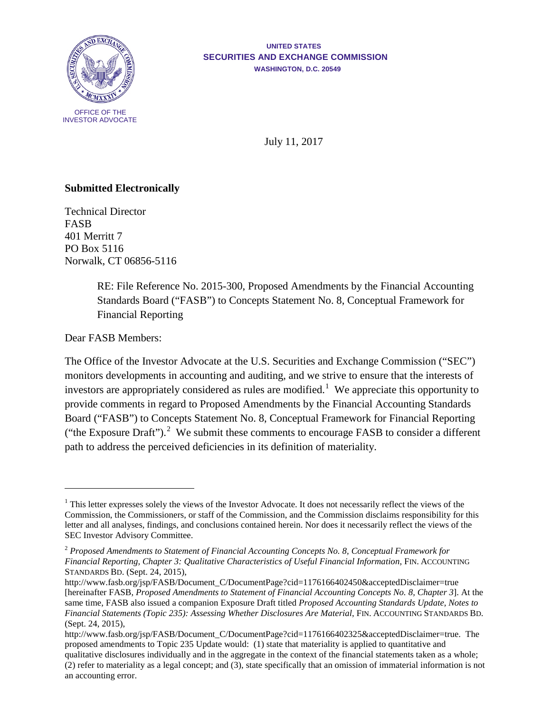

## **UNITED STATES SECURITIES AND EXCHANGE COMMISSION WASHINGTON, D.C. 20549**

July 11, 2017

## **Submitted Electronically**

Technical Director FASB 401 Merritt 7 PO Box 5116 Norwalk, CT 06856-5116

> RE: File Reference No. 2015-300, Proposed Amendments by the Financial Accounting Standards Board ("FASB") to Concepts Statement No. 8, Conceptual Framework for Financial Reporting

Dear FASB Members:

<span id="page-0-2"></span> $\overline{a}$ 

The Office of the Investor Advocate at the U.S. Securities and Exchange Commission ("SEC") monitors developments in accounting and auditing, and we strive to ensure that the interests of investors are appropriately considered as rules are modified.<sup>[1](#page-0-0)</sup> We appreciate this opportunity to provide comments in regard to Proposed Amendments by the Financial Accounting Standards Board ("FASB") to Concepts Statement No. 8, Conceptual Framework for Financial Reporting ("the Exposure Draft").<sup>[2](#page-0-1)</sup> We submit these comments to encourage FASB to consider a different path to address the perceived deficiencies in its definition of materiality.

<span id="page-0-0"></span> $1$  This letter expresses solely the views of the Investor Advocate. It does not necessarily reflect the views of the Commission, the Commissioners, or staff of the Commission, and the Commission disclaims responsibility for this letter and all analyses, findings, and conclusions contained herein. Nor does it necessarily reflect the views of the SEC Investor Advisory Committee.

<span id="page-0-1"></span><sup>2</sup> *Proposed Amendments to Statement of Financial Accounting Concepts No. 8, Conceptual Framework for Financial Reporting, Chapter 3: Qualitative Characteristics of Useful Financial Information*, FIN. ACCOUNTING STANDARDS BD. (Sept. 24, 2015),

http://www.fasb.org/jsp/FASB/Document\_C/DocumentPage?cid=1176166402450&acceptedDisclaimer=true [hereinafter FASB, *Proposed Amendments to Statement of Financial Accounting Concepts No. 8, Chapter 3*]. At the same time, FASB also issued a companion Exposure Draft titled *Proposed Accounting Standards Update, Notes to Financial Statements (Topic 235): Assessing Whether Disclosures Are Material*, FIN. ACCOUNTING STANDARDS BD. (Sept. 24, 2015),

[http://www.fasb.org/jsp/FASB/Document\\_C/DocumentPage?cid=1176166402325&acceptedDisclaimer=true.](http://www.fasb.org/jsp/FASB/Document_C/DocumentPage?cid=1176166402325&acceptedDisclaimer=true) The proposed amendments to Topic 235 Update would: (1) state that materiality is applied to quantitative and qualitative disclosures individually and in the aggregate in the context of the financial statements taken as a whole; (2) refer to materiality as a legal concept; and (3), state specifically that an omission of immaterial information is not an accounting error.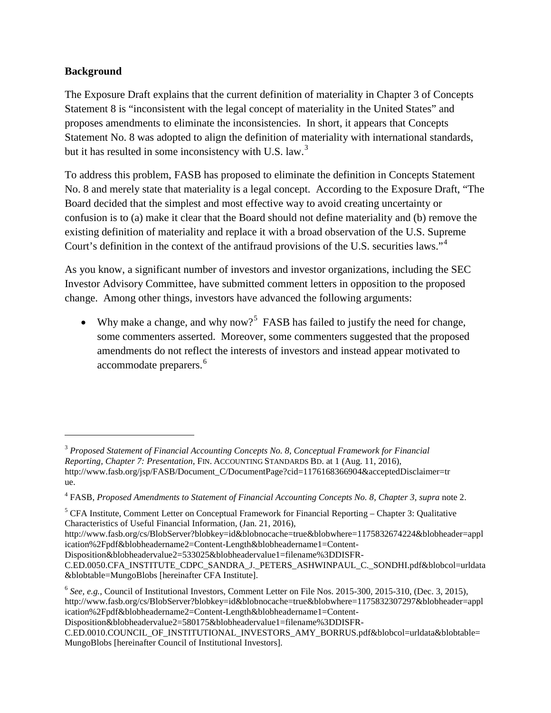## **Background**

 $\overline{a}$ 

The Exposure Draft explains that the current definition of materiality in Chapter 3 of Concepts Statement 8 is "inconsistent with the legal concept of materiality in the United States" and proposes amendments to eliminate the inconsistencies. In short, it appears that Concepts Statement No. 8 was adopted to align the definition of materiality with international standards, but it has resulted in some inconsistency with U.S. law.<sup>[3](#page-1-0)</sup>

To address this problem, FASB has proposed to eliminate the definition in Concepts Statement No. 8 and merely state that materiality is a legal concept. According to the Exposure Draft, "The Board decided that the simplest and most effective way to avoid creating uncertainty or confusion is to (a) make it clear that the Board should not define materiality and (b) remove the existing definition of materiality and replace it with a broad observation of the U.S. Supreme Court's definition in the context of the antifraud provisions of the U.S. securities laws."[4](#page-1-1)

As you know, a significant number of investors and investor organizations, including the SEC Investor Advisory Committee, have submitted comment letters in opposition to the proposed change. Among other things, investors have advanced the following arguments:

<span id="page-1-5"></span><span id="page-1-4"></span>• Why make a change, and why now?<sup>[5](#page-1-2)</sup> FASB has failed to justify the need for change, some commenters asserted. Moreover, some commenters suggested that the proposed amendments do not reflect the interests of investors and instead appear motivated to accommodate preparers.<sup>[6](#page-1-3)</sup>

[Disposition&blobheadervalue2=580175&blobheadervalue1=filename%3DDISFR-](http://www.fasb.org/cs/BlobServer?blobkey=id&blobnocache=true&blobwhere=1175832307297&blobheader=application%2Fpdf&blobheadername2=Content-Length&blobheadername1=Content-Disposition&blobheadervalue2=580175&blobheadervalue1=filename%3DDISFR-C.ED.0010.COUNCIL_OF_INSTITUTIONAL_INVESTORS_AMY_BORRUS.pdf&blobcol=urldata&blobtable=MungoBlobs)

<span id="page-1-0"></span><sup>3</sup> *Proposed Statement of Financial Accounting Concepts No. 8, Conceptual Framework for Financial Reporting, Chapter 7: Presentation*, FIN. ACCOUNTING STANDARDS BD. at 1 (Aug. 11, 2016), [http://www.fasb.org/jsp/FASB/Document\\_C/DocumentPage?cid=1176168366904&acceptedDisclaimer=tr](http://www.fasb.org/jsp/FASB/Document_C/DocumentPage?cid=1176168366904&acceptedDisclaimer=true) [ue.](http://www.fasb.org/jsp/FASB/Document_C/DocumentPage?cid=1176168366904&acceptedDisclaimer=true)

<span id="page-1-1"></span><sup>4</sup> FASB, *Proposed Amendments to Statement of Financial Accounting Concepts No. 8, Chapter 3*, *supra* note [2.](#page-0-2)

<span id="page-1-2"></span><sup>&</sup>lt;sup>5</sup> CFA Institute, Comment Letter on Conceptual Framework for Financial Reporting – Chapter 3: Qualitative Characteristics of Useful Financial Information, (Jan. 21, 2016),

[http://www.fasb.org/cs/BlobServer?blobkey=id&blobnocache=true&blobwhere=1175832674224&blobheader=appl](http://www.fasb.org/cs/BlobServer?blobkey=id&blobnocache=true&blobwhere=1175832674224&blobheader=application%2Fpdf&blobheadername2=Content-Length&blobheadername1=Content-Disposition&blobheadervalue2=533025&blobheadervalue1=filename%3DDISFR-C.ED.0050.CFA_INSTITUTE_CDPC_SANDRA_J._PETERS_ASHWINPAUL_C._SONDHI.pdf&blobcol=urldata&blobtable=MungoBlobs) [ication%2Fpdf&blobheadername2=Content-Length&blobheadername1=Content-](http://www.fasb.org/cs/BlobServer?blobkey=id&blobnocache=true&blobwhere=1175832674224&blobheader=application%2Fpdf&blobheadername2=Content-Length&blobheadername1=Content-Disposition&blobheadervalue2=533025&blobheadervalue1=filename%3DDISFR-C.ED.0050.CFA_INSTITUTE_CDPC_SANDRA_J._PETERS_ASHWINPAUL_C._SONDHI.pdf&blobcol=urldata&blobtable=MungoBlobs)

[Disposition&blobheadervalue2=533025&blobheadervalue1=filename%3DDISFR-](http://www.fasb.org/cs/BlobServer?blobkey=id&blobnocache=true&blobwhere=1175832674224&blobheader=application%2Fpdf&blobheadername2=Content-Length&blobheadername1=Content-Disposition&blobheadervalue2=533025&blobheadervalue1=filename%3DDISFR-C.ED.0050.CFA_INSTITUTE_CDPC_SANDRA_J._PETERS_ASHWINPAUL_C._SONDHI.pdf&blobcol=urldata&blobtable=MungoBlobs)

[C.ED.0050.CFA\\_INSTITUTE\\_CDPC\\_SANDRA\\_J.\\_PETERS\\_ASHWINPAUL\\_C.\\_SONDHI.pdf&blobcol=urldata](http://www.fasb.org/cs/BlobServer?blobkey=id&blobnocache=true&blobwhere=1175832674224&blobheader=application%2Fpdf&blobheadername2=Content-Length&blobheadername1=Content-Disposition&blobheadervalue2=533025&blobheadervalue1=filename%3DDISFR-C.ED.0050.CFA_INSTITUTE_CDPC_SANDRA_J._PETERS_ASHWINPAUL_C._SONDHI.pdf&blobcol=urldata&blobtable=MungoBlobs) [&blobtable=MungoBlobs](http://www.fasb.org/cs/BlobServer?blobkey=id&blobnocache=true&blobwhere=1175832674224&blobheader=application%2Fpdf&blobheadername2=Content-Length&blobheadername1=Content-Disposition&blobheadervalue2=533025&blobheadervalue1=filename%3DDISFR-C.ED.0050.CFA_INSTITUTE_CDPC_SANDRA_J._PETERS_ASHWINPAUL_C._SONDHI.pdf&blobcol=urldata&blobtable=MungoBlobs) [hereinafter CFA Institute].

<span id="page-1-3"></span><sup>6</sup> *See, e.g.*, Council of Institutional Investors, Comment Letter on File Nos. 2015-300, 2015-310, (Dec. 3, 2015), [http://www.fasb.org/cs/BlobServer?blobkey=id&blobnocache=true&blobwhere=1175832307297&blobheader=appl](http://www.fasb.org/cs/BlobServer?blobkey=id&blobnocache=true&blobwhere=1175832307297&blobheader=application%2Fpdf&blobheadername2=Content-Length&blobheadername1=Content-Disposition&blobheadervalue2=580175&blobheadervalue1=filename%3DDISFR-C.ED.0010.COUNCIL_OF_INSTITUTIONAL_INVESTORS_AMY_BORRUS.pdf&blobcol=urldata&blobtable=MungoBlobs) [ication%2Fpdf&blobheadername2=Content-Length&blobheadername1=Content-](http://www.fasb.org/cs/BlobServer?blobkey=id&blobnocache=true&blobwhere=1175832307297&blobheader=application%2Fpdf&blobheadername2=Content-Length&blobheadername1=Content-Disposition&blobheadervalue2=580175&blobheadervalue1=filename%3DDISFR-C.ED.0010.COUNCIL_OF_INSTITUTIONAL_INVESTORS_AMY_BORRUS.pdf&blobcol=urldata&blobtable=MungoBlobs)

[C.ED.0010.COUNCIL\\_OF\\_INSTITUTIONAL\\_INVESTORS\\_AMY\\_BORRUS.pdf&blobcol=urldata&blobtable=](http://www.fasb.org/cs/BlobServer?blobkey=id&blobnocache=true&blobwhere=1175832307297&blobheader=application%2Fpdf&blobheadername2=Content-Length&blobheadername1=Content-Disposition&blobheadervalue2=580175&blobheadervalue1=filename%3DDISFR-C.ED.0010.COUNCIL_OF_INSTITUTIONAL_INVESTORS_AMY_BORRUS.pdf&blobcol=urldata&blobtable=MungoBlobs) [MungoBlobs](http://www.fasb.org/cs/BlobServer?blobkey=id&blobnocache=true&blobwhere=1175832307297&blobheader=application%2Fpdf&blobheadername2=Content-Length&blobheadername1=Content-Disposition&blobheadervalue2=580175&blobheadervalue1=filename%3DDISFR-C.ED.0010.COUNCIL_OF_INSTITUTIONAL_INVESTORS_AMY_BORRUS.pdf&blobcol=urldata&blobtable=MungoBlobs) [hereinafter Council of Institutional Investors].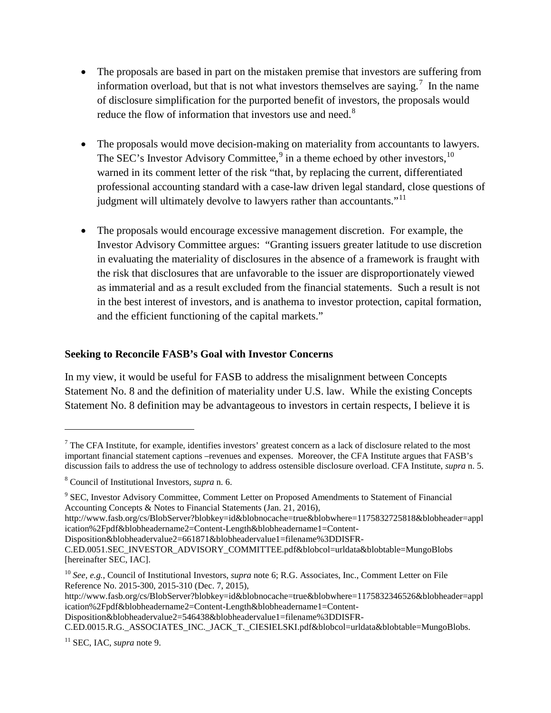- The proposals are based in part on the mistaken premise that investors are suffering from information overload, but that is not what investors themselves are saying.<sup>[7](#page-2-1)</sup> In the name of disclosure simplification for the purported benefit of investors, the proposals would reduce the flow of information that investors use and need.<sup>[8](#page-2-2)</sup>
- <span id="page-2-0"></span>• The proposals would move decision-making on materiality from accountants to lawyers. The SEC's Investor Advisory Committee,<sup>[9](#page-2-3)</sup> in a theme echoed by other investors,  $10$ warned in its comment letter of the risk "that, by replacing the current, differentiated professional accounting standard with a case-law driven legal standard, close questions of judgment will ultimately devolve to lawyers rather than accountants."<sup>11</sup>
- The proposals would encourage excessive management discretion. For example, the Investor Advisory Committee argues: "Granting issuers greater latitude to use discretion in evaluating the materiality of disclosures in the absence of a framework is fraught with the risk that disclosures that are unfavorable to the issuer are disproportionately viewed as immaterial and as a result excluded from the financial statements. Such a result is not in the best interest of investors, and is anathema to investor protection, capital formation, and the efficient functioning of the capital markets."

## **Seeking to Reconcile FASB's Goal with Investor Concerns**

In my view, it would be useful for FASB to address the misalignment between Concepts Statement No. 8 and the definition of materiality under U.S. law. While the existing Concepts Statement No. 8 definition may be advantageous to investors in certain respects, I believe it is

[http://www.fasb.org/cs/BlobServer?blobkey=id&blobnocache=true&blobwhere=1175832725818&blobheader=appl](http://www.fasb.org/cs/BlobServer?blobkey=id&blobnocache=true&blobwhere=1175832725818&blobheader=application%2Fpdf&blobheadername2=Content-Length&blobheadername1=Content-Disposition&blobheadervalue2=661871&blobheadervalue1=filename%3DDISFR-C.ED.0051.SEC_INVESTOR_ADVISORY_COMMITTEE.pdf&blobcol=urldata&blobtable=MungoBlobs) [ication%2Fpdf&blobheadername2=Content-Length&blobheadername1=Content-](http://www.fasb.org/cs/BlobServer?blobkey=id&blobnocache=true&blobwhere=1175832725818&blobheader=application%2Fpdf&blobheadername2=Content-Length&blobheadername1=Content-Disposition&blobheadervalue2=661871&blobheadervalue1=filename%3DDISFR-C.ED.0051.SEC_INVESTOR_ADVISORY_COMMITTEE.pdf&blobcol=urldata&blobtable=MungoBlobs)

[Disposition&blobheadervalue2=661871&blobheadervalue1=filename%3DDISFR-](http://www.fasb.org/cs/BlobServer?blobkey=id&blobnocache=true&blobwhere=1175832725818&blobheader=application%2Fpdf&blobheadername2=Content-Length&blobheadername1=Content-Disposition&blobheadervalue2=661871&blobheadervalue1=filename%3DDISFR-C.ED.0051.SEC_INVESTOR_ADVISORY_COMMITTEE.pdf&blobcol=urldata&blobtable=MungoBlobs)

[http://www.fasb.org/cs/BlobServer?blobkey=id&blobnocache=true&blobwhere=1175832346526&blobheader=appl](http://www.fasb.org/cs/BlobServer?blobkey=id&blobnocache=true&blobwhere=1175832346526&blobheader=application%2Fpdf&blobheadername2=Content-Length&blobheadername1=Content-Disposition&blobheadervalue2=546438&blobheadervalue1=filename%3DDISFR-C.ED.0015.R.G._ASSOCIATES_INC._JACK_T._CIESIELSKI.pdf&blobcol=urldata&blobtable=MungoBlobs) [ication%2Fpdf&blobheadername2=Content-Length&blobheadername1=Content-](http://www.fasb.org/cs/BlobServer?blobkey=id&blobnocache=true&blobwhere=1175832346526&blobheader=application%2Fpdf&blobheadername2=Content-Length&blobheadername1=Content-Disposition&blobheadervalue2=546438&blobheadervalue1=filename%3DDISFR-C.ED.0015.R.G._ASSOCIATES_INC._JACK_T._CIESIELSKI.pdf&blobcol=urldata&blobtable=MungoBlobs)

[Disposition&blobheadervalue2=546438&blobheadervalue1=filename%3DDISFR-](http://www.fasb.org/cs/BlobServer?blobkey=id&blobnocache=true&blobwhere=1175832346526&blobheader=application%2Fpdf&blobheadername2=Content-Length&blobheadername1=Content-Disposition&blobheadervalue2=546438&blobheadervalue1=filename%3DDISFR-C.ED.0015.R.G._ASSOCIATES_INC._JACK_T._CIESIELSKI.pdf&blobcol=urldata&blobtable=MungoBlobs)

[C.ED.0015.R.G.\\_ASSOCIATES\\_INC.\\_JACK\\_T.\\_CIESIELSKI.pdf&blobcol=urldata&blobtable=MungoBlobs.](http://www.fasb.org/cs/BlobServer?blobkey=id&blobnocache=true&blobwhere=1175832346526&blobheader=application%2Fpdf&blobheadername2=Content-Length&blobheadername1=Content-Disposition&blobheadervalue2=546438&blobheadervalue1=filename%3DDISFR-C.ED.0015.R.G._ASSOCIATES_INC._JACK_T._CIESIELSKI.pdf&blobcol=urldata&blobtable=MungoBlobs)

 $\overline{a}$ 

<span id="page-2-1"></span> $7$  The CFA Institute, for example, identifies investors' greatest concern as a lack of disclosure related to the most important financial statement captions –revenues and expenses. Moreover, the CFA Institute argues that FASB's discussion fails to address the use of technology to address ostensible disclosure overload. CFA Institute, *supra* n. [5.](#page-1-4)

<span id="page-2-2"></span><sup>8</sup> Council of Institutional Investors, *supra* n[. 6.](#page-1-5)

<span id="page-2-3"></span><sup>&</sup>lt;sup>9</sup> SEC, Investor Advisory Committee, Comment Letter on Proposed Amendments to Statement of Financial Accounting Concepts & Notes to Financial Statements (Jan. 21, 2016),

[C.ED.0051.SEC\\_INVESTOR\\_ADVISORY\\_COMMITTEE.pdf&blobcol=urldata&blobtable=MungoBlobs](http://www.fasb.org/cs/BlobServer?blobkey=id&blobnocache=true&blobwhere=1175832725818&blobheader=application%2Fpdf&blobheadername2=Content-Length&blobheadername1=Content-Disposition&blobheadervalue2=661871&blobheadervalue1=filename%3DDISFR-C.ED.0051.SEC_INVESTOR_ADVISORY_COMMITTEE.pdf&blobcol=urldata&blobtable=MungoBlobs) [hereinafter SEC, IAC].

<span id="page-2-4"></span><sup>10</sup> *See, e.g.*, Council of Institutional Investors, *supra* note [6;](#page-1-5) R.G. Associates, Inc., Comment Letter on File Reference No. 2015-300, 2015-310 (Dec. 7, 2015),

<span id="page-2-5"></span><sup>11</sup> SEC, IAC, *supra* note [9.](#page-2-0)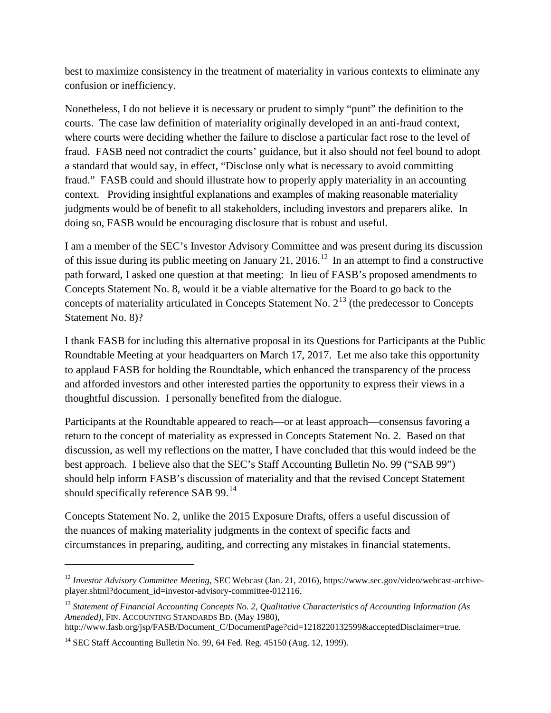best to maximize consistency in the treatment of materiality in various contexts to eliminate any confusion or inefficiency.

Nonetheless, I do not believe it is necessary or prudent to simply "punt" the definition to the courts. The case law definition of materiality originally developed in an anti-fraud context, where courts were deciding whether the failure to disclose a particular fact rose to the level of fraud. FASB need not contradict the courts' guidance, but it also should not feel bound to adopt a standard that would say, in effect, "Disclose only what is necessary to avoid committing fraud." FASB could and should illustrate how to properly apply materiality in an accounting context. Providing insightful explanations and examples of making reasonable materiality judgments would be of benefit to all stakeholders, including investors and preparers alike. In doing so, FASB would be encouraging disclosure that is robust and useful.

I am a member of the SEC's Investor Advisory Committee and was present during its discussion of this issue during its public meeting on January 21, 2016.<sup>[12](#page-3-0)</sup> In an attempt to find a constructive path forward, I asked one question at that meeting: In lieu of FASB's proposed amendments to Concepts Statement No. 8, would it be a viable alternative for the Board to go back to the concepts of materiality articulated in Concepts Statement No.  $2^{13}$  $2^{13}$  $2^{13}$  (the predecessor to Concepts Statement No. 8)?

I thank FASB for including this alternative proposal in its Questions for Participants at the Public Roundtable Meeting at your headquarters on March 17, 2017. Let me also take this opportunity to applaud FASB for holding the Roundtable, which enhanced the transparency of the process and afforded investors and other interested parties the opportunity to express their views in a thoughtful discussion. I personally benefited from the dialogue.

Participants at the Roundtable appeared to reach—or at least approach—consensus favoring a return to the concept of materiality as expressed in Concepts Statement No. 2. Based on that discussion, as well my reflections on the matter, I have concluded that this would indeed be the best approach. I believe also that the SEC's Staff Accounting Bulletin No. 99 ("SAB 99") should help inform FASB's discussion of materiality and that the revised Concept Statement should specifically reference SAB 99.<sup>[14](#page-3-2)</sup>

Concepts Statement No. 2, unlike the 2015 Exposure Drafts, offers a useful discussion of the nuances of making materiality judgments in the context of specific facts and circumstances in preparing, auditing, and correcting any mistakes in financial statements.

 $\overline{a}$ 

<span id="page-3-0"></span><sup>&</sup>lt;sup>12</sup> Investor Advisory Committee Meeting, SEC Webcast (Jan. 21, 2016)[, https://www.sec.gov/video/webcast-archive](https://www.sec.gov/video/webcast-archive-player.shtml?document_id=investor-advisory-committee-012116)[player.shtml?document\\_id=investor-advisory-committee-012116.](https://www.sec.gov/video/webcast-archive-player.shtml?document_id=investor-advisory-committee-012116)

<span id="page-3-1"></span><sup>13</sup> *Statement of Financial Accounting Concepts No. 2*, *Qualitative Characteristics of Accounting Information (As Amended)*, FIN. ACCOUNTING STANDARDS BD. (May 1980),

http://www.fasb.org/jsp/FASB/Document\_C/DocumentPage?cid=1218220132599&acceptedDisclaimer=true.

<span id="page-3-2"></span> $14$  SEC Staff Accounting Bulletin No. 99, 64 Fed. Reg. 45150 (Aug. 12, 1999).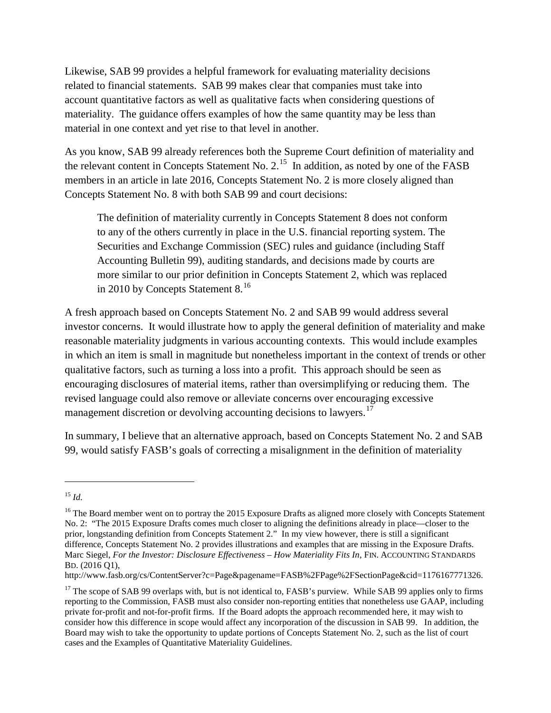Likewise, SAB 99 provides a helpful framework for evaluating materiality decisions related to financial statements. SAB 99 makes clear that companies must take into account quantitative factors as well as qualitative facts when considering questions of materiality. The guidance offers examples of how the same quantity may be less than material in one context and yet rise to that level in another.

As you know, SAB 99 already references both the Supreme Court definition of materiality and the relevant content in Concepts Statement No. 2.<sup>15</sup> In addition, as noted by one of the FASB members in an article in late 2016, Concepts Statement No. 2 is more closely aligned than Concepts Statement No. 8 with both SAB 99 and court decisions:

The definition of materiality currently in Concepts Statement 8 does not conform to any of the others currently in place in the U.S. financial reporting system. The Securities and Exchange Commission (SEC) rules and guidance (including Staff Accounting Bulletin 99), auditing standards, and decisions made by courts are more similar to our prior definition in Concepts Statement 2, which was replaced in 2010 by Concepts Statement 8.<sup>[16](#page-4-1)</sup>

A fresh approach based on Concepts Statement No. 2 and SAB 99 would address several investor concerns. It would illustrate how to apply the general definition of materiality and make reasonable materiality judgments in various accounting contexts. This would include examples in which an item is small in magnitude but nonetheless important in the context of trends or other qualitative factors, such as turning a loss into a profit. This approach should be seen as encouraging disclosures of material items, rather than oversimplifying or reducing them. The revised language could also remove or alleviate concerns over encouraging excessive management discretion or devolving accounting decisions to lawyers.<sup>[17](#page-4-2)</sup>

In summary, I believe that an alternative approach, based on Concepts Statement No. 2 and SAB 99, would satisfy FASB's goals of correcting a misalignment in the definition of materiality

 $\overline{a}$ 

<span id="page-4-0"></span><sup>15</sup> *Id.*

<span id="page-4-1"></span><sup>&</sup>lt;sup>16</sup> The Board member went on to portray the 2015 Exposure Drafts as aligned more closely with Concepts Statement No. 2: "The 2015 Exposure Drafts comes much closer to aligning the definitions already in place—closer to the prior, longstanding definition from Concepts Statement 2." In my view however, there is still a significant difference, Concepts Statement No. 2 provides illustrations and examples that are missing in the Exposure Drafts. Marc Siegel, *For the Investor: Disclosure Effectiveness – How Materiality Fits In*, FIN. ACCOUNTING STANDARDS BD. (2016 Q1),

[http://www.fasb.org/cs/ContentServer?c=Page&pagename=FASB%2FPage%2FSectionPage&cid=1176167771326.](http://www.fasb.org/cs/ContentServer?c=Page&pagename=FASB%2FPage%2FSectionPage&cid=1176167771326)

<span id="page-4-2"></span> $17$  The scope of SAB 99 overlaps with, but is not identical to, FASB's purview. While SAB 99 applies only to firms reporting to the Commission, FASB must also consider non-reporting entities that nonetheless use GAAP, including private for-profit and not-for-profit firms. If the Board adopts the approach recommended here, it may wish to consider how this difference in scope would affect any incorporation of the discussion in SAB 99. In addition, the Board may wish to take the opportunity to update portions of Concepts Statement No. 2, such as the list of court cases and the Examples of Quantitative Materiality Guidelines.